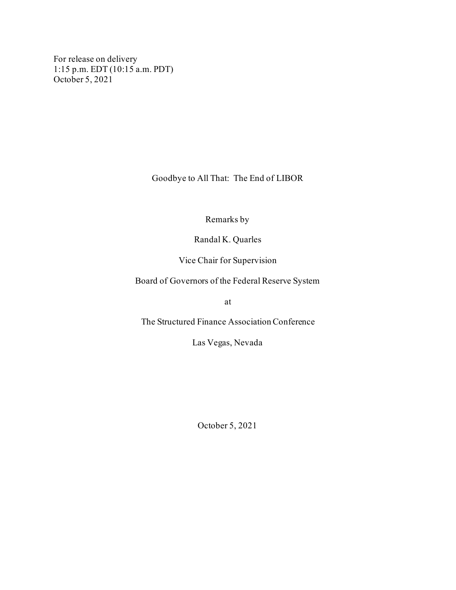For release on delivery 1:15 p.m. EDT (10:15 a.m. PDT) October 5, 2021

Goodbye to All That: The End of LIBOR

Remarks by

Randal K. Quarles

Vice Chair for Supervision

Board of Governors of the Federal Reserve System

at

The Structured Finance Association Conference

Las Vegas, Nevada

October 5, 2021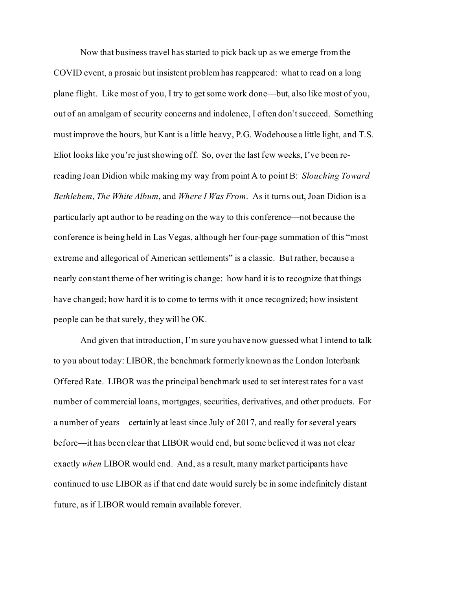Now that business travel has started to pick back up as we emerge from the COVID event, a prosaic but insistent problem has reappeared: what to read on a long plane flight. Like most of you, I try to get some work done—but, also like most of you, out of an amalgam of security concerns and indolence, I often don't succeed. Something must improve the hours, but Kant is a little heavy, P.G. Wodehouse a little light, and T.S. Eliot looks like you're just showing off. So, over the last few weeks, I've been rereading Joan Didion while making my way from point A to point B: *Slouching Toward Bethlehem*, *The White Album*, and *Where I Was From*. As it turns out, Joan Didion is a particularly apt author to be reading on the way to this conference—not because the conference is being held in Las Vegas, although her four-page summation of this "most extreme and allegorical of American settlements" is a classic. But rather, because a nearly constant theme of her writing is change: how hard it is to recognize that things have changed; how hard it is to come to terms with it once recognized; how insistent people can be that surely, they will be OK.

And given that introduction, I'm sure you have now guessed what I intend to talk to you about today: LIBOR, the benchmark formerly known as the London Interbank Offered Rate. LIBOR was the principal benchmark used to set interest rates for a vast number of commercial loans, mortgages, securities, derivatives, and other products. For a number of years—certainly at least since July of 2017, and really for several years before—it has been clear that LIBOR would end, but some believed it was not clear exactly *when* LIBOR would end. And, as a result, many market participants have continued to use LIBOR as if that end date would surely be in some indefinitely distant future, as if LIBOR would remain available forever.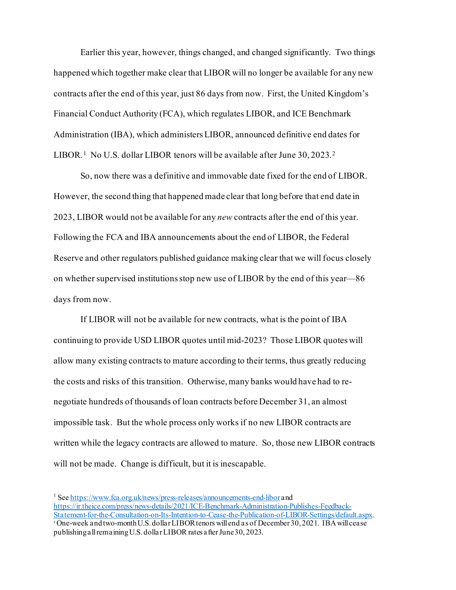Earlier this year, however, things changed, and changed significantly. Two things happened which together make clear that LIBOR will no longer be available for any new contracts after the end of this year, just 86 days from now. First, the United Kingdom's Financial Conduct Authority (FCA), which regulates LIBOR, and ICE Benchmark Administration (IBA), which administers LIBOR, announced definitive end dates for LIBOR.<sup>[1](#page-2-0)</sup> No U.S. dollar LIBOR tenors will be available after June 30, [2](#page-2-1)023.<sup>2</sup>

So, now there was a definitive and immovable date fixed for the end of LIBOR. However, the second thing that happened made clear that long before that end date in 2023, LIBOR would not be available for any *new* contracts after the end of this year. Following the FCA and IBA announcements about the end of LIBOR, the Federal Reserve and other regulators published guidance making clear that we will focus closely on whether supervised institutions stop new use of LIBOR by the end of this year—86 days from now.

If LIBOR will not be available for new contracts, what is the point of IBA continuing to provide USD LIBOR quotes until mid-2023? Those LIBOR quotes will allow many existing contracts to mature according to their terms, thus greatly reducing the costs and risks of this transition. Otherwise, many banks would have had to renegotiate hundreds of thousands of loan contracts before December 31, an almost impossible task. But the whole process only works if no new LIBOR contracts are written while the legacy contracts are allowed to mature. So, those new LIBOR contracts will not be made. Change is difficult, but it is inescapable.

<span id="page-2-1"></span><span id="page-2-0"></span><sup>1</sup> See <https://www.fca.org.uk/news/press-releases/announcements-end-libor> and [https://ir.theice.com/press/news-details/2021/ICE-Benchmark-Administration-Publishes-Feedback-](https://ir.theice.com/press/news-details/2021/ICE-Benchmark-Administration-Publishes-Feedback-Statement-for-the-Consultation-on-Its-Intention-to-Cease-the-Publication-of-LIBOR-Settings/default.aspx)[Statement-for-the-Consultation-on-Its-Intention-to-Cease-the-Publication-of-LIBOR-Settings/default.aspx](https://ir.theice.com/press/news-details/2021/ICE-Benchmark-Administration-Publishes-Feedback-Statement-for-the-Consultation-on-Its-Intention-to-Cease-the-Publication-of-LIBOR-Settings/default.aspx). <sup>2</sup> One-week and two-month U.S. dollar LIBOR tenors will end as of December 30, 2021. IBA will cease publishing all remaining U.S. dollar LIBOR rates after June 30, 2023.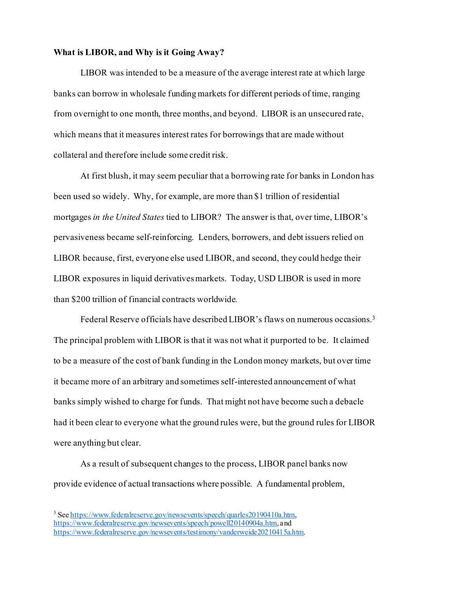## **What is LIBOR, and Why is it Going Away?**

LIBOR was intended to be a measure of the average interest rate at which large banks can borrow in wholesale funding markets for different periods of time, ranging from overnight to one month, three months, and beyond. LIBOR is an unsecured rate, which means that it measures interest rates for borrowings that are made without collateral and therefore include some credit risk.

At first blush, it may seem peculiar that a borrowing rate for banks in London has been used so widely. Why, for example, are more than \$1 trillion of residential mortgages *in the United States* tied to LIBOR? The answer is that, over time, LIBOR's pervasiveness became self-reinforcing. Lenders, borrowers, and debt issuers relied on LIBOR because, first, everyone else used LIBOR, and second, they could hedge their LIBOR exposures in liquid derivatives markets. Today, USD LIBOR is used in more than \$200 trillion of financial contracts worldwide.

Federal Reserve officials have described LIBOR's flaws on numerous occasions.[3](#page-3-0) The principal problem with LIBOR is that it was not what it purported to be. It claimed to be a measure of the cost of bank funding in the London money markets, but over time it became more of an arbitrary and sometimes self-interested announcement of what banks simply wished to charge for funds. That might not have become such a debacle had it been clear to everyone what the ground rules were, but the ground rules for LIBOR were anything but clear.

As a result of subsequent changes to the process, LIBOR panel banks now provide evidence of actual transactions where possible. A fundamental problem,

<span id="page-3-0"></span><sup>&</sup>lt;sup>3</sup> See <https://www.federalreserve.gov/newsevents/speech/quarles20190410a.htm>, <https://www.federalreserve.gov/newsevents/speech/powell20140904a.htm>, and <https://www.federalreserve.gov/newsevents/testimony/vanderweide20210415a.htm>.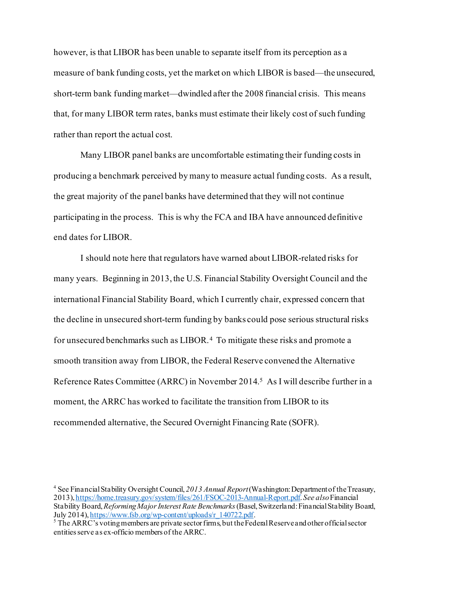however, is that LIBOR has been unable to separate itself from its perception as a measure of bank funding costs, yet the market on which LIBOR is based—the unsecured, short-term bank funding market—dwindled after the 2008 financial crisis. This means that, for many LIBOR term rates, banks must estimate their likely cost of such funding rather than report the actual cost.

Many LIBOR panel banks are uncomfortable estimating their funding costs in producing a benchmark perceived by many to measure actual funding costs. As a result, the great majority of the panel banks have determined that they will not continue participating in the process. This is why the FCA and IBA have announced definitive end dates for LIBOR.

I should note here that regulators have warned about LIBOR-related risks for many years. Beginning in 2013, the U.S. Financial Stability Oversight Council and the international Financial Stability Board, which I currently chair, expressed concern that the decline in unsecured short-term funding by banks could pose serious structural risks for unsecured benchmarks such as LIBOR.[4](#page-4-0) To mitigate these risks and promote a smooth transition away from LIBOR, the Federal Reserve convened the Alternative Reference Rates Committee (ARRC) in November 2014.[5](#page-4-1) As I will describe further in a moment, the ARRC has worked to facilitate the transition from LIBOR to its recommended alternative, the Secured Overnight Financing Rate (SOFR).

<span id="page-4-0"></span><sup>4</sup> See Financial Stability Oversight Council, *2013 Annual Report*(Washington: Department of the Treasury, 2013)[, https://home.treasury.gov/system/files/261/FSOC-2013-Annual-Report.pdf](https://home.treasury.gov/system/files/261/FSOC-2013-Annual-Report.pdf). *See also* Financial Stability Board, *Reforming Major Interest Rate Benchmarks* (Basel, Switzerland: Financial Stability Board, July 2014), https://www.fsb.org/wp-content/uploads/r 140722.pdf.

<span id="page-4-1"></span> $\frac{1}{2}$ The ARRC's voting members are private sector firms, but the Federal Reserve and other official sector entities serve as ex-officio members of the ARRC.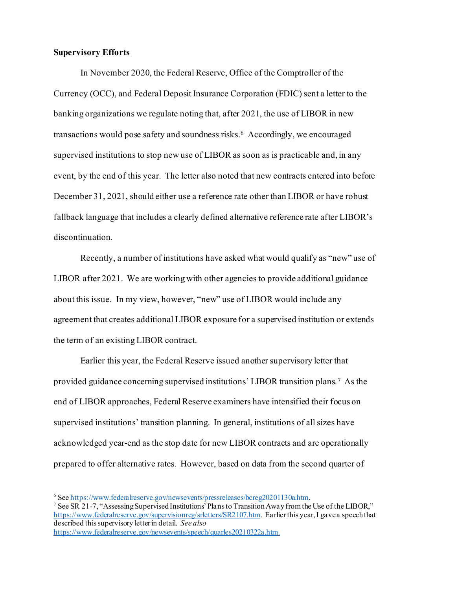## **Supervisory Efforts**

In November 2020, the Federal Reserve, Office of the Comptroller of the Currency (OCC), and Federal Deposit Insurance Corporation (FDIC) sent a letter to the banking organizations we regulate noting that, after 2021, the use of LIBOR in new transactions would pose safety and soundness risks.<sup>[6](#page-5-0)</sup> Accordingly, we encouraged supervised institutions to stop new use of LIBOR as soon as is practicable and, in any event, by the end of this year. The letter also noted that new contracts entered into before December 31, 2021, should either use a reference rate other than LIBOR or have robust fallback language that includes a clearly defined alternative reference rate after LIBOR's discontinuation.

Recently, a number of institutions have asked what would qualify as "new" use of LIBOR after 2021. We are working with other agencies to provide additional guidance about this issue. In my view, however, "new" use of LIBOR would include any agreement that creates additional LIBOR exposure for a supervised institution or extends the term of an existing LIBOR contract.

Earlier this year, the Federal Reserve issued another supervisory letter that provided guidance concerning supervised institutions' LIBOR transition plans.[7](#page-5-1) As the end of LIBOR approaches, Federal Reserve examiners have intensified their focus on supervised institutions' transition planning. In general, institutions of all sizes have acknowledged year-end as the stop date for new LIBOR contracts and are operationally prepared to offer alternative rates. However, based on data from the second quarter of

<span id="page-5-1"></span><span id="page-5-0"></span>

<sup>&</sup>lt;sup>6</sup> Se[e https://www.federalreserve.gov/newsevents/pressreleases/bcreg20201130a.htm](https://www.federalreserve.gov/newsevents/pressreleases/bcreg20201130a.htm).<br><sup>7</sup> See SR 21-7, "Assessing Supervised Institutions' Plans to Transition Away from the Use of the LIBOR," <https://www.federalreserve.gov/supervisionreg/srletters/SR2107.htm>. Earlier this year, I gave a speech that described this supervisory letter in detail. *See also*  <https://www.federalreserve.gov/newsevents/speech/quarles20210322a.htm>.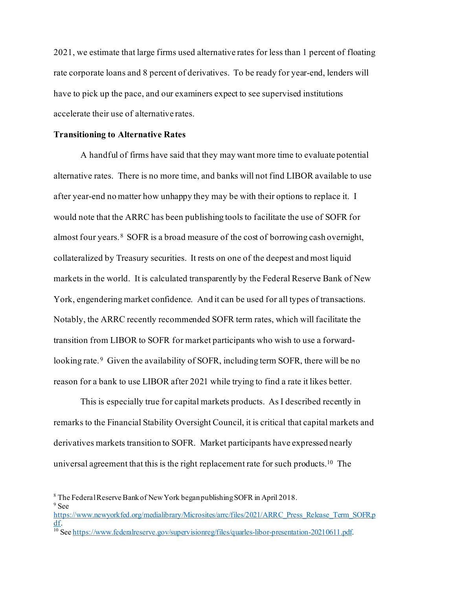2021, we estimate that large firms used alternative rates for less than 1 percent of floating rate corporate loans and 8 percent of derivatives. To be ready for year-end, lenders will have to pick up the pace, and our examiners expect to see supervised institutions accelerate their use of alternative rates.

## **Transitioning to Alternative Rates**

A handful of firms have said that they may want more time to evaluate potential alternative rates. There is no more time, and banks will not find LIBOR available to use after year-end no matter how unhappy they may be with their options to replace it. I would note that the ARRC has been publishing tools to facilitate the use of SOFR for almost four years. [8](#page-6-0) SOFR is a broad measure of the cost of borrowing cash overnight, collateralized by Treasury securities. It rests on one of the deepest and most liquid markets in the world. It is calculated transparently by the Federal Reserve Bank of New York, engendering market confidence. And it can be used for all types of transactions. Notably, the ARRC recently recommended SOFR term rates, which will facilitate the transition from LIBOR to SOFR for market participants who wish to use a forward-looking rate.<sup>[9](#page-6-1)</sup> Given the availability of SOFR, including term SOFR, there will be no reason for a bank to use LIBOR after 2021 while trying to find a rate it likes better.

This is especially true for capital markets products. As I described recently in remarks to the Financial Stability Oversight Council, it is critical that capital markets and derivatives markets transition to SOFR. Market participants have expressed nearly universal agreement that this is the right replacement rate for such products.<sup>[10](#page-6-2)</sup> The

<span id="page-6-1"></span><sup>9</sup> See

<span id="page-6-2"></span>[https://www.newyorkfed.org/medialibrary/Microsites/arrc/files/2021/ARRC\\_Press\\_Release\\_Term\\_SOFR.p](https://www.newyorkfed.org/medialibrary/Microsites/arrc/files/2021/ARRC_Press_Release_Term_SOFR.pdf)  $\frac{dI}{d\theta}$ . See https://www.federalreserve.gov/supervisionreg/files/quarles-libor-presentation-20210611.p[df.](https://www.newyorkfed.org/medialibrary/Microsites/arrc/files/2021/ARRC_Press_Release_Term_SOFR.pdf)

<span id="page-6-0"></span><sup>8</sup> The Federal Reserve Bank of New York began publishing SOFR in April 2018.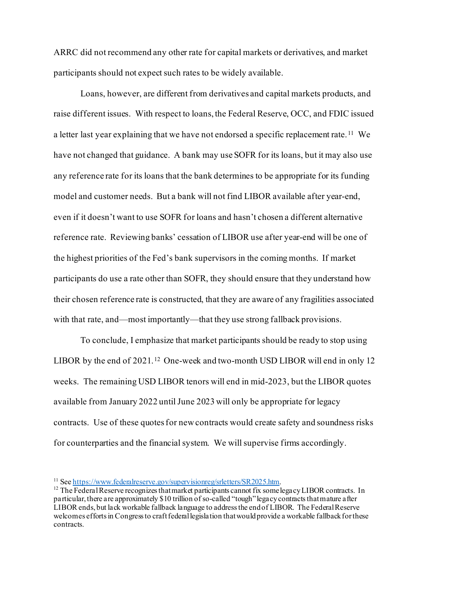ARRC did not recommend any other rate for capital markets or derivatives, and market participants should not expect such rates to be widely available.

Loans, however, are different from derivatives and capital markets products, and raise different issues. With respect to loans, the Federal Reserve, OCC, and FDIC issued a letter last year explaining that we have not endorsed a specific replacement rate.<sup>[11](#page-7-0)</sup> We have not changed that guidance. A bank may use SOFR for its loans, but it may also use any reference rate for its loans that the bank determines to be appropriate for its funding model and customer needs. But a bank will not find LIBOR available after year-end, even if it doesn't want to use SOFR for loans and hasn't chosen a different alternative reference rate. Reviewing banks' cessation of LIBOR use after year-end will be one of the highest priorities of the Fed's bank supervisors in the coming months. If market participants do use a rate other than SOFR, they should ensure that they understand how their chosen reference rate is constructed, that they are aware of any fragilities associated with that rate, and—most importantly—that they use strong fallback provisions.

To conclude, I emphasize that market participants should be ready to stop using LIBOR by the end of 2021.<sup>[12](#page-7-1)</sup> One-week and two-month USD LIBOR will end in only 12 weeks. The remaining USD LIBOR tenors will end in mid-2023, but the LIBOR quotes available from January 2022 until June 2023 will only be appropriate for legacy contracts. Use of these quotesfor new contracts would create safety and soundness risks for counterparties and the financial system. We will supervise firms accordingly.

<span id="page-7-1"></span><span id="page-7-0"></span><sup>&</sup>lt;sup>11</sup> See<https://www.federalreserve.gov/supervisionreg/srletters/SR2025.htm>.<br><sup>12</sup> The Federal Reserve recognizes that market participants cannot fix some legacy LIBOR contracts. In particular, there are approximately \$10 trillion of so-called "tough" legacy contracts that mature after LIBOR ends, but lack workable fallback language to address the end of LIBOR. The Federal Reserve welcomes efforts in Congress to craft federal legislation that would provide a workable fallback for these contracts.